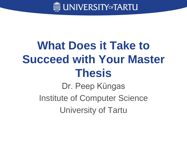

## **What Does it Take to Succeed with Your Master Thesis**

Dr. Peep Küngas Institute of Computer Science University of Tartu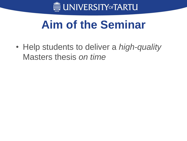

## **Aim of the Seminar**

• Help students to deliver a *high-quality* Masters thesis *on time*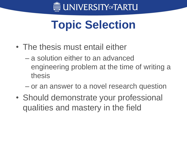

## **Topic Selection**

- The thesis must entail either
	- a solution either to an advanced engineering problem at the time of writing a thesis
	- or an answer to a novel research question
- Should demonstrate your professional qualities and mastery in the field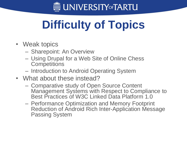

# **Difficulty of Topics**

- Weak topics
	- Sharepoint: An Overview
	- Using Drupal for a Web Site of Online Chess **Competitions**
	- Introduction to Android Operating System
- What about these instead?
	- Comparative study of Open Source Content Management Systems with Respect to Compliance to Best Practices of W3C Linked Data Platform 1.0
	- Performance Optimization and Memory Footprint Reduction of Android Rich Inter-Application Message Passing System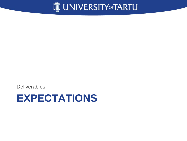

**Deliverables** 

### **EXPECTATIONS**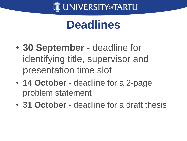

## **Deadlines**

- **30 September**  deadline for identifying title, supervisor and presentation time slot
- **14 October** deadline for a 2-page problem statement
- **31 October**  deadline for a draft thesis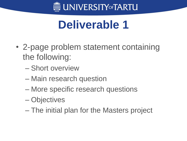

## **Deliverable 1**

- 2-page problem statement containing the following:
	- Short overview
	- Main research question
	- More specific research questions
	- Objectives
	- The initial plan for the Masters project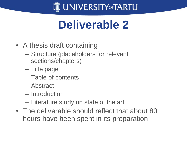

## **Deliverable 2**

- A thesis draft containing
	- Structure (placeholders for relevant sections/chapters)
	- Title page
	- Table of contents
	- Abstract
	- Introduction
	- Literature study on state of the art
- The deliverable should reflect that about 80 hours have been spent in its preparation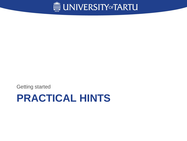

Getting started

### **PRACTICAL HINTS**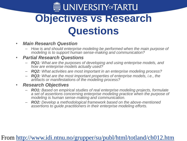### **ME UNIVERSITYOFTARTU Objectives vs Research Questions**

- *Main Research Question*
	- *How is and should enterprise modeling be performed when the main purpose of modeling is to support human sense-making and communication?*

#### • *Partial Research Questions*

- *RQ1: What are the purposes of developing and using enterprise models, and how are enterprise models actually used?*
- *RQ2: What activities are most important in an enterprise modeling process?*
- *RQ3: What are the most important properties of enterprise models, i.e., the artifacts or manifestations of the modeling process?*

#### • *Research Objectives*

- *RO1: Based on empirical studies of real enterprise modeling projects, formulate a set of assertions concerning enterprise modeling practice when the purpose of modeling is human sense-making and communication.*
- *RO2: Develop a methodological framework based on the above-mentioned assertions to guide practitioners in their enterprise modeling efforts.*

#### From<http://www.idi.ntnu.no/grupper/su/publ/html/totland/ch012.htm>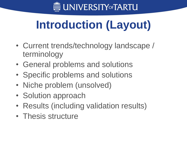

# **Introduction (Layout)**

- Current trends/technology landscape / terminology
- General problems and solutions
- Specific problems and solutions
- Niche problem (unsolved)
- Solution approach
- Results (including validation results)
- Thesis structure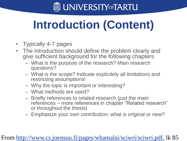

# **Introduction (Content)**

- Typically 4-7 pages
- The introduction should define the problem clearly and give sufficient background for the following chapters
	- What is the purpose of the research? Main research questions?
	- What is the scope? Indicate explicitely all limitations and restricting assumptions!
	- Why the topic is important or interesting?
	- What methods are used?
	- Briefly references to related research (just the main references – more references in chapter "Related research" or throughout the thesis)
	- Emphasize your own contribution: what is original or new?

#### From<http://www.cs.joensuu.fi/pages/whamalai/sciwri/sciwri.pdf>, lk 85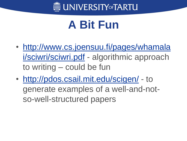

## **A Bit Fun**

- [http://www.cs.joensuu.fi/pages/whamala](http://www.cs.joensuu.fi/pages/whamalai/sciwri/sciwri.pdf) [i/sciwri/sciwri.pdf](http://www.cs.joensuu.fi/pages/whamalai/sciwri/sciwri.pdf) - algorithmic approach to writing – could be fun
- <http://pdos.csail.mit.edu/scigen/> to generate examples of a well-and-notso-well-structured papers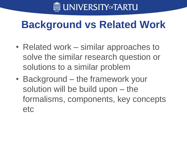

### **Background vs Related Work**

- Related work similar approaches to solve the similar research question or solutions to a similar problem
- Background the framework your solution will be build upon – the formalisms, components, key concepts etc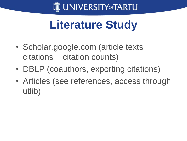

## **Literature Study**

- Scholar.google.com (article texts + citations + citation counts)
- DBLP (coauthors, exporting citations)
- Articles (see references, access through utlib)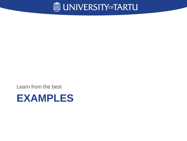

Learn from the best

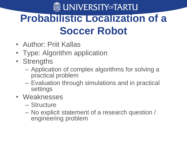## **ME UNIVERSITYOFTARTU Probabilistic Localization of a Soccer Robot**

- Author: Priit Kallas
- Type: Algorithm application
- Strengths
	- Application of complex algorithms for solving a practical problem
	- Evaluation through simulations and in practical settings
- Weaknesses
	- Structure
	- No explicit statement of a research question / engineering problem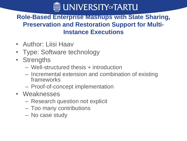

#### **Role-Based Enterprise Mashups with State Sharing, Preservation and Restoration Support for Multi-Instance Executions**

- Author: Liisi Haav
- Type: Software technology
- Strengths
	- Well-structured thesis + introduction
	- Incremental extension and combination of existing frameworks
	- Proof-of-concept implementation
- Weaknesses
	- Research question not explicit
	- Too many contributions
	- No case study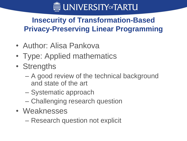

### **Insecurity of Transformation-Based Privacy-Preserving Linear Programming**

- Author: Alisa Pankova
- Type: Applied mathematics
- Strengths
	- A good review of the technical background and state of the art
	- Systematic approach
	- Challenging research question
- Weaknesses
	- Research question not explicit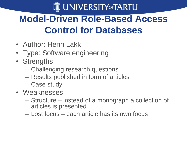

### **Model-Driven Role-Based Access Control for Databases**

- Author: Henri Lakk
- Type: Software engineering
- Strengths
	- Challenging research questions
	- Results published in form of articles
	- Case study
- Weaknesses
	- Structure instead of a monograph a collection of articles is presented
	- Lost focus each article has its own focus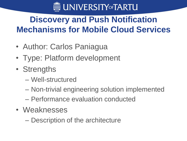

### **Discovery and Push Notification Mechanisms for Mobile Cloud Services**

- Author: Carlos Paniagua
- Type: Platform development
- Strengths
	- Well-structured
	- Non-trivial engineering solution implemented
	- Performance evaluation conducted
- Weaknesses
	- Description of the architecture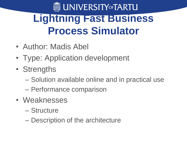## **ME UNIVERSITY OF TARTU Lightning Fast Business Process Simulator**

- Author: Madis Abel
- Type: Application development
- Strengths
	- Solution available online and in practical use
	- Performance comparison
- Weaknesses
	- Structure
	- Description of the architecture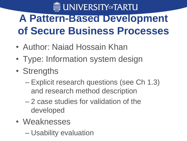## **ME UNIVERSITY OF TARTU A Pattern-Based Development of Secure Business Processes**

- Author: Naiad Hossain Khan
- Type: Information system design
- Strengths
	- Explicit research questions (see Ch 1.3) and research method description
	- 2 case studies for validation of the developed
- Weaknesses
	- Usability evaluation